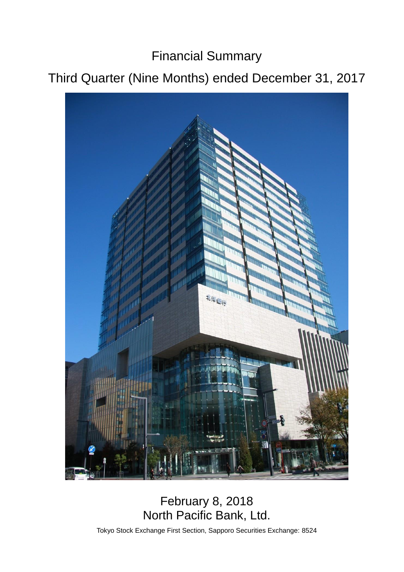Financial Summary

# Third Quarter (Nine Months) ended December 31, 2017



## February 8, 2018 North Pacific Bank, Ltd.

Tokyo Stock Exchange First Section, Sapporo Securities Exchange: 8524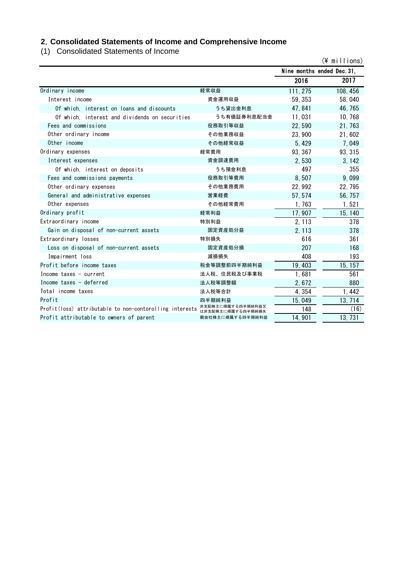## **2**.**Consolidated Statements of Income and Comprehensive Income**

(1) Consolidated Statements of Income

|                                                                           |                   |                            | $(\frac{2}{3})$ millions) |
|---------------------------------------------------------------------------|-------------------|----------------------------|---------------------------|
|                                                                           |                   | Nine months ended Dec. 31, |                           |
|                                                                           |                   | 2016                       | 2017                      |
| Ordinary income                                                           | 経常収益              | 111, 275                   | 108, 456                  |
| Interest income                                                           | 資金運用収益            | 59, 353                    | 58,040                    |
| Of which, interest on loans and discounts                                 | うち貸出金利息           | 47, 841                    | 46, 765                   |
| Of which, interest and dividends on securities                            | うち有価証券利息配当金       | 11,031                     | 10, 768                   |
| Fees and commissions                                                      | 役務取引等収益           | 22,590                     | 21, 763                   |
| Other ordinary income                                                     | その他業務収益           | 23,900                     | 21,602                    |
| Other income                                                              | その他経常収益           | 5,429                      | 7,049                     |
| Ordinary expenses                                                         | 経常費用              | 93, 367                    | 93, 315                   |
| Interest expenses                                                         | 資金調達費用            | 2,530                      | 3, 142                    |
| Of which, interest on deposits                                            | うち預金利息            | 497                        | 355                       |
| Fees and commissions payments                                             | 役務取引等費用           | 8.507                      | 9,099                     |
| Other ordinary expenses                                                   | その他業務費用           | 22,992                     | 22, 795                   |
| General and administrative expenses                                       | 営業経費              | 57, 574                    | 56, 757                   |
| Other expenses                                                            | その他経常費用           | 1,763                      | 1,521                     |
| Ordinary profit                                                           | 経常利益              | 17,907                     | 15, 140                   |
| Extraordinary income                                                      | 特別利益              | 2.113                      | 378                       |
| Gain on disposal of non-current assets                                    | 固定資産処分益           | 2, 113                     | 378                       |
| Extraordinary losses                                                      | 特別損失              | 616                        | 361                       |
| Loss on disposal of non-current assets                                    | 固定資産処分損           | 207                        | 168                       |
| Impairment loss                                                           | 減損損失              | 408                        | 193                       |
| Profit before income taxes                                                | 税金等調整前四半期純利益      | 19,403                     | 15, 157                   |
| Income taxes $-$ current                                                  | 法人税、住民税及び事業税      | 1,681                      | 561                       |
| Income taxes - deferred                                                   | 法人税等調整額           | 2,672                      | 880                       |
| Total income taxes                                                        | 法人税等合計            | 4,354                      | 1,442                     |
| Profit                                                                    | 四半期純利益            | 15,049                     | 13, 714                   |
| Profit(loss) attributable to non-contorolling interests 非支配株主に帰属する四半期純利益又 | は非支配株主に帰属する四半期純損失 | 148                        | (16)                      |
| Profit attributable to owners of parent                                   | 親会社株主に帰属する四半期純利益  | 14,901                     | 13, 731                   |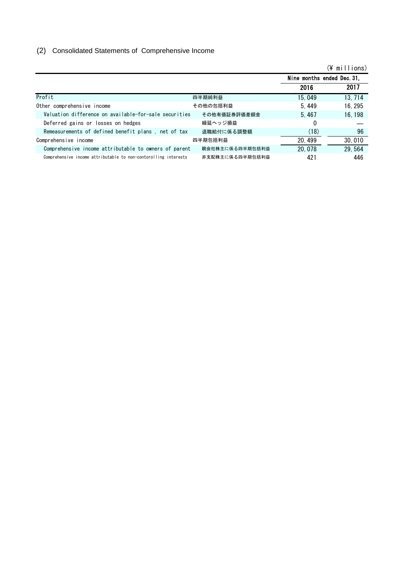## (2) Consolidated Statements of Comprehensive Income

|                                                                 |                 |                            | $(\frac{2}{3})$ millions) |
|-----------------------------------------------------------------|-----------------|----------------------------|---------------------------|
|                                                                 |                 | Nine months ended Dec. 31, |                           |
|                                                                 |                 | 2016                       | 2017                      |
| Profit                                                          | 四半期純利益          | 15, 049                    | 13, 714                   |
| Other comprehensive income                                      | その他の包括利益        | 5.449                      | 16, 295                   |
| Valuation difference on available-for-sale securities           | その他有価証券評価差額金    | 5.467                      | 16.198                    |
| Deferred gains or losses on hedges                              | 繰延ヘッジ損益         | $\Omega$                   |                           |
| Remeasurements of defined benefit plans, net of tax             | 退職給付に係る調整額      | (18)                       | 96                        |
| Comprehensive income                                            | 四半期包括利益         | 20, 499                    | 30,010                    |
| Comprehensive income attributable to owners of parent           | 親会社株主に係る四半期包括利益 | 20,078                     | 29, 564                   |
| Comprehensive income attributable to non-contorolling interests | 非支配株主に係る四半期包括利益 | 421                        | 446                       |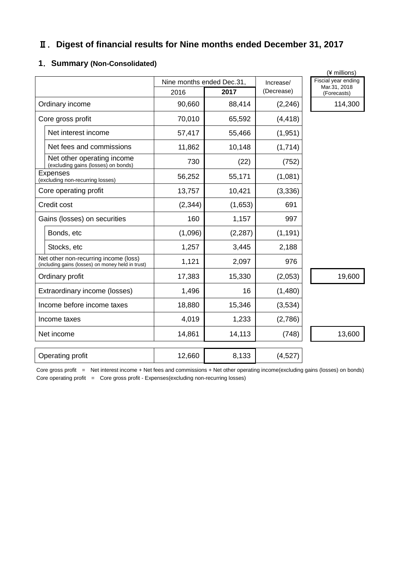## Ⅱ.**Digest of financial results for Nine months ended December 31, 2017**

### **1**.**Summary (Non-Consolidated)**

|                                                                                            |                           |          |            | (¥ millions)                        |
|--------------------------------------------------------------------------------------------|---------------------------|----------|------------|-------------------------------------|
|                                                                                            | Nine months ended Dec.31, |          | Increase/  | Fiscial year ending<br>Mar.31, 2018 |
|                                                                                            | 2016                      | 2017     | (Decrease) | (Forecasts)                         |
| Ordinary income                                                                            | 90,660                    | 88,414   | (2, 246)   | 114,300                             |
| Core gross profit                                                                          | 70,010                    | 65,592   | (4, 418)   |                                     |
| Net interest income                                                                        | 57,417                    | 55,466   | (1, 951)   |                                     |
| Net fees and commissions                                                                   | 11,862                    | 10,148   | (1,714)    |                                     |
| Net other operating income<br>(excluding gains (losses) on bonds)                          | 730                       | (22)     | (752)      |                                     |
| <b>Expenses</b><br>(excluding non-recurring losses)                                        | 56,252                    | 55,171   | (1,081)    |                                     |
| Core operating profit                                                                      | 13,757                    | 10,421   | (3, 336)   |                                     |
| Credit cost                                                                                | (2, 344)                  | (1,653)  | 691        |                                     |
| Gains (losses) on securities                                                               | 160                       | 1,157    | 997        |                                     |
| Bonds, etc                                                                                 | (1,096)                   | (2, 287) | (1, 191)   |                                     |
| Stocks, etc                                                                                | 1,257                     | 3,445    | 2,188      |                                     |
| Net other non-recurring income (loss)<br>(including gains (losses) on money held in trust) | 1,121                     | 2,097    | 976        |                                     |
| Ordinary profit                                                                            | 17,383                    | 15,330   | (2,053)    | 19,600                              |
| Extraordinary income (losses)                                                              | 1,496                     | 16       | (1,480)    |                                     |
| Income before income taxes                                                                 | 18,880                    | 15,346   | (3,534)    |                                     |
| Income taxes                                                                               | 4,019                     | 1,233    | (2,786)    |                                     |
| Net income                                                                                 | 14,861                    | 14,113   | (748)      | 13,600                              |
| Operating profit                                                                           | 12,660                    | 8,133    | (4,527)    |                                     |

Core gross profit = Net interest income + Net fees and commissions + Net other operating income(excluding gains (losses) on bonds) Core operating profit = Core gross profit - Expenses(excluding non-recurring losses)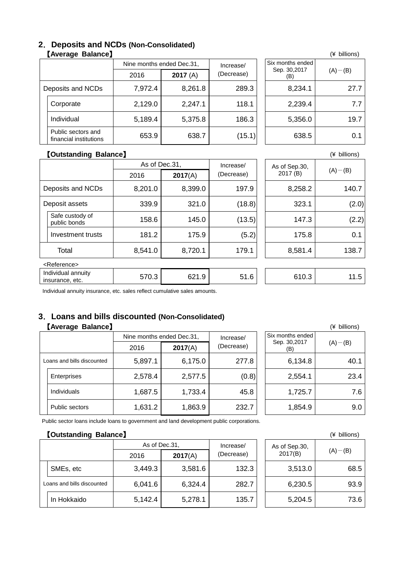#### **2**.**Deposits and NCDs (Non-Consolidated) 【Average Balance】** (¥ billions)

|                   |                                              | Nine months ended Dec.31, |         | Increase/  | Six months ended    | $(A)$ – (B) |  |
|-------------------|----------------------------------------------|---------------------------|---------|------------|---------------------|-------------|--|
|                   |                                              | 2016                      | 2017(A) | (Decrease) | Sep. 30,2017<br>(B) |             |  |
| Deposits and NCDs |                                              | 7,972.4                   | 8,261.8 | 289.3      | 8,234.1             | 27.7        |  |
|                   | Corporate                                    | 2,129.0                   | 2,247.1 | 118.1      | 2,239.4             | 7.7         |  |
|                   | Individual                                   | 5,189.4                   | 5,375.8 | 186.3      | 5,356.0             | 19.7        |  |
|                   | Public sectors and<br>financial institutions | 653.9                     | 638.7   | (15.1)     | 638.5               | 0.1         |  |

|                                         | (¥ billions) |
|-----------------------------------------|--------------|
| Six months ended<br>Sep. 30,2017<br>(B) | $(A) - (B)$  |
| 8,234.1                                 | 27.7         |
| 2,239.4                                 | 7.7          |
| 5,356.0                                 | 19.7         |
| 638.5                                   | 0.1          |

#### 【**Outstanding Balance**】 (¥ billions)

|                                       |                                 | As of Dec.31, |         | Increase/  |  | As of Sep.30, |             |  |
|---------------------------------------|---------------------------------|---------------|---------|------------|--|---------------|-------------|--|
|                                       |                                 | 2016          | 2017(A) | (Decrease) |  | 2017 (B)      | $(A)$ – (B) |  |
|                                       | Deposits and NCDs               | 8,201.0       | 8,399.0 | 197.9      |  | 8,258.2       | 140.7       |  |
|                                       | Deposit assets                  | 339.9         | 321.0   | (18.8)     |  | 323.1         | (2.0)       |  |
|                                       | Safe custody of<br>public bonds | 158.6         | 145.0   | (13.5)     |  | 147.3         | (2.2)       |  |
|                                       | Investment trusts               | 181.2         | 175.9   | (5.2)      |  | 175.8         | 0.1         |  |
|                                       | Total                           | 8,541.0       | 8,720.1 | 179.1      |  | 8,581.4       | 138.7       |  |
| <reference></reference>               |                                 |               |         |            |  |               |             |  |
| Individual annuity<br>insurance, etc. |                                 | 570.3         | 621.9   | 51.6       |  | 610.3         | 11.5        |  |

Individual annuity insurance, etc. sales reflect cumulative sales amounts.

### **3**.**Loans and bills discounted (Non-Consolidated)** 【Average Balance】

|                            |                    |         | Nine months ended Dec.31, | Increase/  | Six months ended    |             |  |
|----------------------------|--------------------|---------|---------------------------|------------|---------------------|-------------|--|
|                            |                    | 2016    | 2017(A)                   | (Decrease) | Sep. 30,2017<br>(B) | $(A)$ – (B) |  |
| Loans and bills discounted |                    | 5,897.1 | 6,175.0                   | 277.8      | 6,134.8             | 40.1        |  |
|                            | Enterprises        | 2,578.4 | 2,577.5                   | (0.8)      | 2,554.1             | 23.4        |  |
|                            | <b>Individuals</b> | 1,687.5 | 1,733.4                   | 45.8       | 1,725.7             | 7.6         |  |
|                            | Public sectors     | 1,631.2 | 1,863.9                   | 232.7      | 1,854.9             | 9.0         |  |

|                                         | (¥ billions) |
|-----------------------------------------|--------------|
| Six months ended<br>Sep. 30,2017<br>(B) | $(A) - (B)$  |
| 6,134.8                                 | 40.1         |
| 2,554.1                                 | 23.4         |
| 1,725.7                                 | 7.6          |
| 1,854.9                                 | 9.0          |

Public sector loans include loans to government and land development public corporations.

#### 【**Outstanding Balance**】 (¥ billions)

|                            |             | As of Dec.31. | Increase/ |            | As of Sep.30, |         |             |
|----------------------------|-------------|---------------|-----------|------------|---------------|---------|-------------|
|                            |             | 2016          | 2017(A)   | (Decrease) |               | 2017(B) | $(A)$ – (B) |
|                            | SMEs, etc   | 3,449.3       | 3,581.6   | 132.3      |               | 3,513.0 | 68.5        |
| Loans and bills discounted |             | 6,041.6       | 6,324.4   | 282.7      |               | 6,230.5 | 93.9        |
|                            | In Hokkaido | 5,142.4       | 5,278.1   | 135.7      |               | 5,204.5 | 73.6        |

|                          | (∓ DIIIIUIIS) |
|--------------------------|---------------|
| As of Sep.30,<br>2017(B) | $(A) - (B)$   |
| 3,513.0                  | 68.5          |
| 6,230.5                  | 93.9          |
| 5,204.5                  | 73.6          |